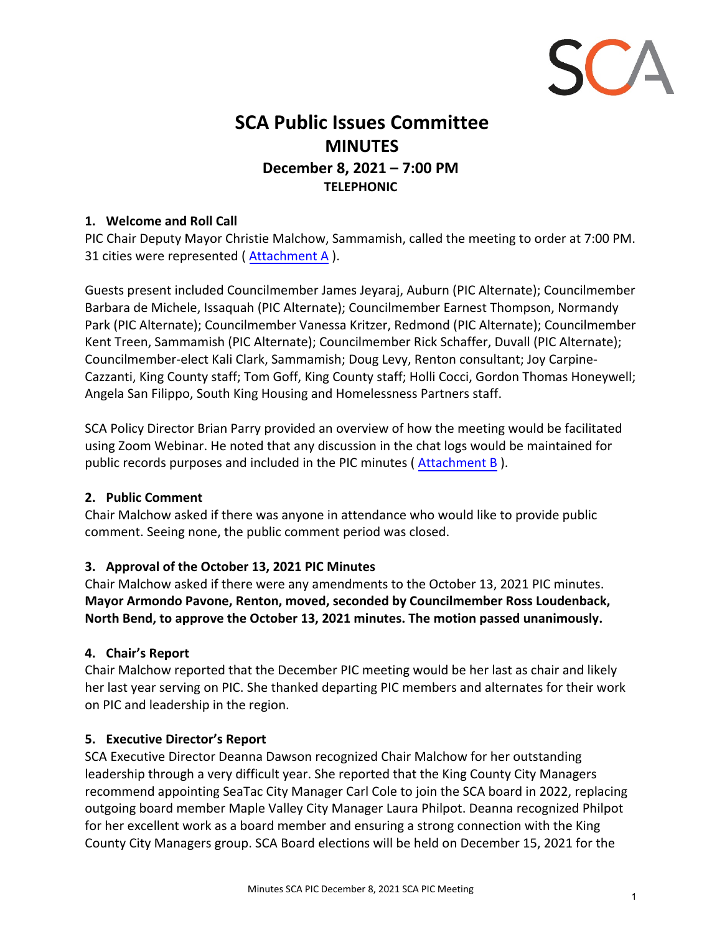

# **SCA Public Issues Committee MINUTES December 8, 2021 – 7:00 PM TELEPHONIC**

#### **1. Welcome and Roll Call**

PIC Chair Deputy Mayor Christie Malchow, Sammamish, called the meeting to order at 7:00 PM. 31 cities were represented ( Attachment A ).

Guests present included Councilmember James Jeyaraj, Auburn (PIC Alternate); Councilmember Barbara de Michele, Issaquah (PIC Alternate); Councilmember Earnest Thompson, Normandy Park (PIC Alternate); Councilmember Vanessa Kritzer, Redmond (PIC Alternate); Councilmember Kent Treen, Sammamish (PIC Alternate); Councilmember Rick Schaffer, Duvall (PIC Alternate); Councilmember-elect Kali Clark, Sammamish; Doug Levy, Renton consultant; Joy Carpine-Cazzanti, King County staff; Tom Goff, King County staff; Holli Cocci, Gordon Thomas Honeywell; Angela San Filippo, South King Housing and Homelessness Partners staff.

SCA Policy Director Brian Parry provided an overview of how the meeting would be facilitated using Zoom Webinar. He noted that any discussion in the chat logs would be maintained for public records purposes and included in the PIC minutes ( Attachment B ).

#### **2. Public Comment**

Chair Malchow asked if there was anyone in attendance who would like to provide public comment. Seeing none, the public comment period was closed.

## **3. Approval of the October 13, 2021 PIC Minutes**

Chair Malchow asked if there were any amendments to the October 13, 2021 PIC minutes. **Mayor Armondo Pavone, Renton, moved, seconded by Councilmember Ross Loudenback, North Bend, to approve the October 13, 2021 minutes. The motion passed unanimously.**

## **4. Chair's Report**

Chair Malchow reported that the December PIC meeting would be her last as chair and likely her last year serving on PIC. She thanked departing PIC members and alternates for their work on PIC and leadership in the region.

#### **5. Executive Director's Report**

SCA Executive Director Deanna Dawson recognized Chair Malchow for her outstanding leadership through a very difficult year. She reported that the King County City Managers recommend appointing SeaTac City Manager Carl Cole to join the SCA board in 2022, replacing outgoing board member Maple Valley City Manager Laura Philpot. Deanna recognized Philpot for her excellent work as a board member and ensuring a strong connection with the King County City Managers group. SCA Board elections will be held on December 15, 2021 for the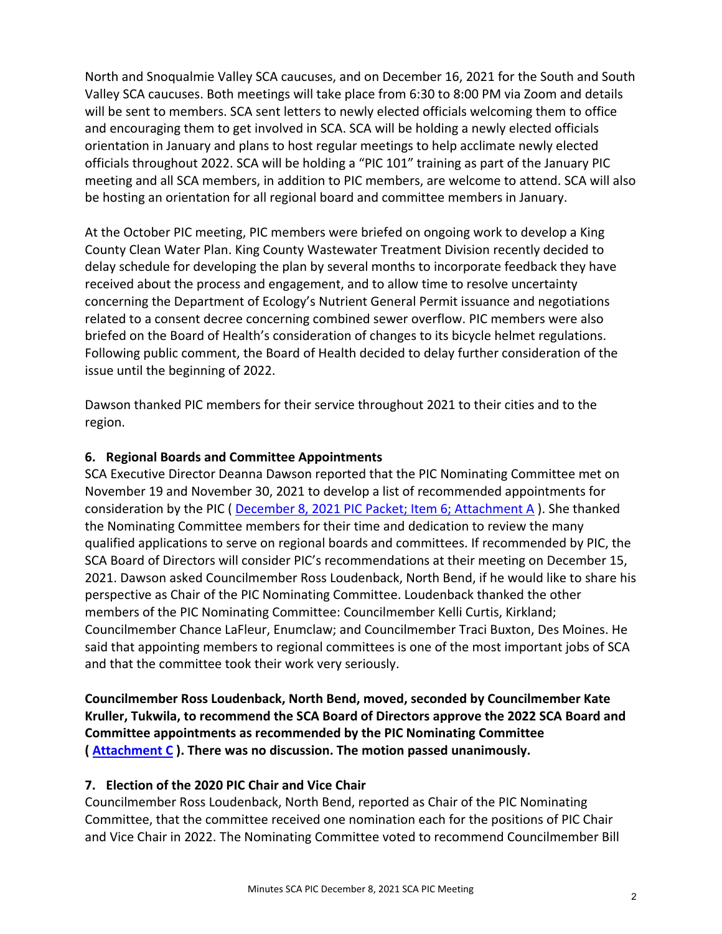North and Snoqualmie Valley SCA caucuses, and on December 16, 2021 for the South and South Valley SCA caucuses. Both meetings will take place from 6:30 to 8:00 PM via Zoom and details will be sent to members. SCA sent letters to newly elected officials welcoming them to office and encouraging them to get involved in SCA. SCA will be holding a newly elected officials orientation in January and plans to host regular meetings to help acclimate newly elected officials throughout 2022. SCA will be holding a "PIC 101" training as part of the January PIC meeting and all SCA members, in addition to PIC members, are welcome to attend. SCA will also be hosting an orientation for all regional board and committee members in January.

At the October PIC meeting, PIC members were briefed on ongoing work to develop a King County Clean Water Plan. King County Wastewater Treatment Division recently decided to delay schedule for developing the plan by several months to incorporate feedback they have received about the process and engagement, and to allow time to resolve uncertainty concerning the Department of Ecology's Nutrient General Permit issuance and negotiations related to a consent decree concerning combined sewer overflow. PIC members were also briefed on the Board of Health's consideration of changes to its bicycle helmet regulations. Following public comment, the Board of Health decided to delay further consideration of the issue until the beginning of 2022.

Dawson thanked PIC members for their service throughout 2021 to their cities and to the region.

## **6. Regional Boards and Committee Appointments**

SCA Executive Director Deanna Dawson reported that the PIC Nominating Committee met on November 19 and November 30, 2021 to develop a list of recommended appointments for consideration by the PIC ( [December 8, 2021 PIC Packet; Item 6; Attachment A](http://soundcities.org/wp-content/uploads/2021/12/December-8-2021-SCA-PIC-Packet.pdf#page=20) ). She thanked the Nominating Committee members for their time and dedication to review the many qualified applications to serve on regional boards and committees. If recommended by PIC, the SCA Board of Directors will consider PIC's recommendations at their meeting on December 15, 2021. Dawson asked Councilmember Ross Loudenback, North Bend, if he would like to share his perspective as Chair of the PIC Nominating Committee. Loudenback thanked the other members of the PIC Nominating Committee: Councilmember Kelli Curtis, Kirkland; Councilmember Chance LaFleur, Enumclaw; and Councilmember Traci Buxton, Des Moines. He said that appointing members to regional committees is one of the most important jobs of SCA and that the committee took their work very seriously.

**Councilmember Ross Loudenback, North Bend, moved, seconded by Councilmember Kate Kruller, Tukwila, to recommend the SCA Board of Directors approve the 2022 SCA Board and Committee appointments as recommended by the PIC Nominating Committee ( Attachment C ). There was no discussion. The motion passed unanimously.**

## **7. Election of the 2020 PIC Chair and Vice Chair**

Councilmember Ross Loudenback, North Bend, reported as Chair of the PIC Nominating Committee, that the committee received one nomination each for the positions of PIC Chair and Vice Chair in 2022. The Nominating Committee voted to recommend Councilmember Bill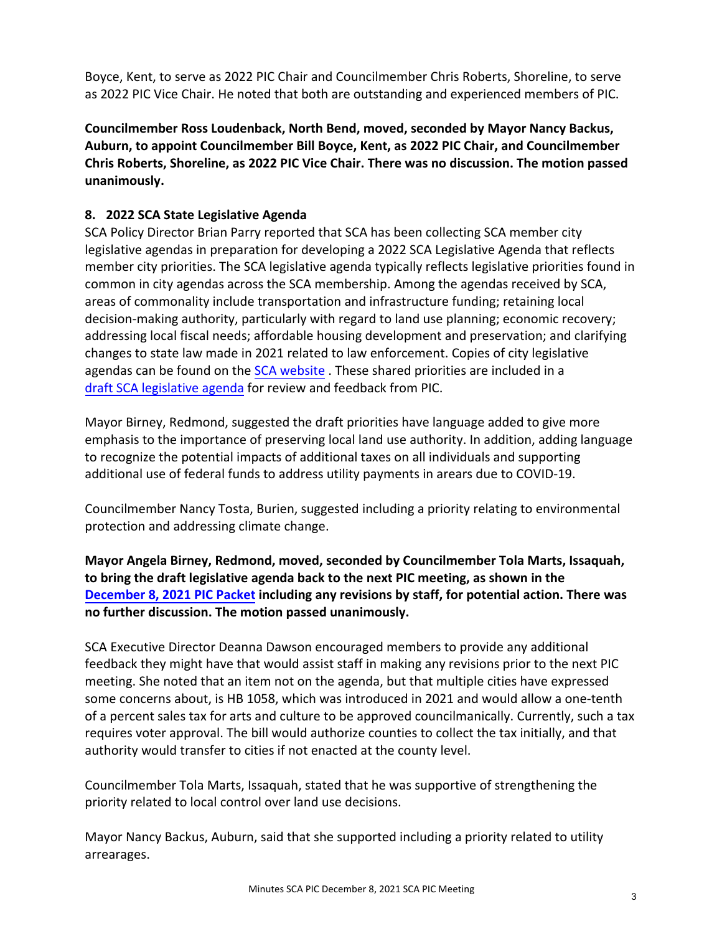Boyce, Kent, to serve as 2022 PIC Chair and Councilmember Chris Roberts, Shoreline, to serve as 2022 PIC Vice Chair. He noted that both are outstanding and experienced members of PIC.

**Councilmember Ross Loudenback, North Bend, moved, seconded by Mayor Nancy Backus, Auburn, to appoint Councilmember Bill Boyce, Kent, as 2022 PIC Chair, and Councilmember Chris Roberts, Shoreline, as 2022 PIC Vice Chair. There was no discussion. The motion passed unanimously.**

## **8. 2022 SCA State Legislative Agenda**

SCA Policy Director Brian Parry reported that SCA has been collecting SCA member city legislative agendas in preparation for developing a 2022 SCA Legislative Agenda that reflects member city priorities. The SCA legislative agenda typically reflects legislative priorities found in common in city agendas across the SCA membership. Among the agendas received by SCA, areas of commonality include transportation and infrastructure funding; retaining local decision-making authority, particularly with regard to land use planning; economic recovery; addressing local fiscal needs; affordable housing development and preservation; and clarifying changes to state law made in 2021 related to law enforcement. Copies of city legislative agendas can be found on the [SCA website](http://soundcities.org/2021-city-legislative-agendas/) . These shared priorities are included in a [draft SCA legislative agenda](http://soundcities.org/wp-content/uploads/2021/12/December-8-2021-SCA-PIC-Packet.pdf#page=24) for review and feedback from PIC.

Mayor Birney, Redmond, suggested the draft priorities have language added to give more emphasis to the importance of preserving local land use authority. In addition, adding language to recognize the potential impacts of additional taxes on all individuals and supporting additional use of federal funds to address utility payments in arears due to COVID-19.

Councilmember Nancy Tosta, Burien, suggested including a priority relating to environmental protection and addressing climate change.

**Mayor Angela Birney, Redmond, moved, seconded by Councilmember Tola Marts, Issaquah, to bring the draft legislative agenda back to the next PIC meeting, as shown in the [December 8,](http://soundcities.org/wp-content/uploads/2021/12/December-8-2021-SCA-PIC-Packet.pdf#page=24) 2021 PIC Packet including any revisions by staff, for potential action. There was no further discussion. The motion passed unanimously.**

SCA Executive Director Deanna Dawson encouraged members to provide any additional feedback they might have that would assist staff in making any revisions prior to the next PIC meeting. She noted that an item not on the agenda, but that multiple cities have expressed some concerns about, is HB 1058, which was introduced in 2021 and would allow a one-tenth of a percent sales tax for arts and culture to be approved councilmanically. Currently, such a tax requires voter approval. The bill would authorize counties to collect the tax initially, and that authority would transfer to cities if not enacted at the county level.

Councilmember Tola Marts, Issaquah, stated that he was supportive of strengthening the priority related to local control over land use decisions.

Mayor Nancy Backus, Auburn, said that she supported including a priority related to utility arrearages.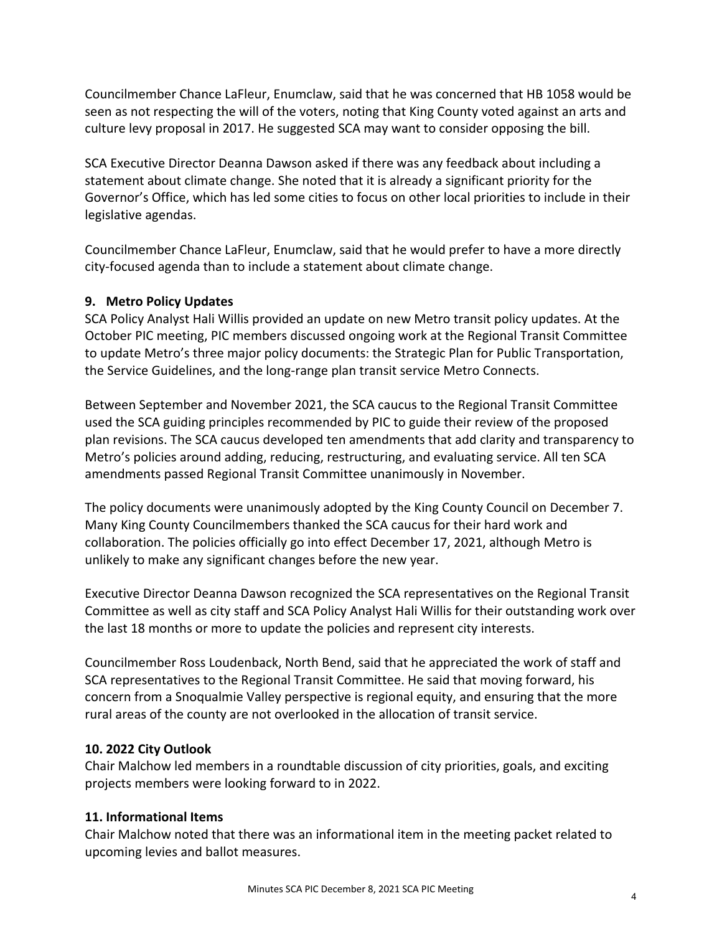Councilmember Chance LaFleur, Enumclaw, said that he was concerned that HB 1058 would be seen as not respecting the will of the voters, noting that King County voted against an arts and culture levy proposal in 2017. He suggested SCA may want to consider opposing the bill.

SCA Executive Director Deanna Dawson asked if there was any feedback about including a statement about climate change. She noted that it is already a significant priority for the Governor's Office, which has led some cities to focus on other local priorities to include in their legislative agendas.

Councilmember Chance LaFleur, Enumclaw, said that he would prefer to have a more directly city-focused agenda than to include a statement about climate change.

## **9. Metro Policy Updates**

SCA Policy Analyst Hali Willis provided an update on new Metro transit policy updates. At the October PIC meeting, PIC members discussed ongoing work at the Regional Transit Committee to update Metro's three major policy documents: the Strategic Plan for Public Transportation, the Service Guidelines, and the long-range plan transit service Metro Connects.

Between September and November 2021, the SCA caucus to the Regional Transit Committee used the SCA guiding principles recommended by PIC to guide their review of the proposed plan revisions. The SCA caucus developed ten amendments that add clarity and transparency to Metro's policies around adding, reducing, restructuring, and evaluating service. All ten SCA amendments passed Regional Transit Committee unanimously in November.

The policy documents were unanimously adopted by the King County Council on December 7. Many King County Councilmembers thanked the SCA caucus for their hard work and collaboration. The policies officially go into effect December 17, 2021, although Metro is unlikely to make any significant changes before the new year.

Executive Director Deanna Dawson recognized the SCA representatives on the Regional Transit Committee as well as city staff and SCA Policy Analyst Hali Willis for their outstanding work over the last 18 months or more to update the policies and represent city interests.

Councilmember Ross Loudenback, North Bend, said that he appreciated the work of staff and SCA representatives to the Regional Transit Committee. He said that moving forward, his concern from a Snoqualmie Valley perspective is regional equity, and ensuring that the more rural areas of the county are not overlooked in the allocation of transit service.

## **10. 2022 City Outlook**

Chair Malchow led members in a roundtable discussion of city priorities, goals, and exciting projects members were looking forward to in 2022.

## **11. Informational Items**

Chair Malchow noted that there was an informational item in the meeting packet related to upcoming levies and ballot measures.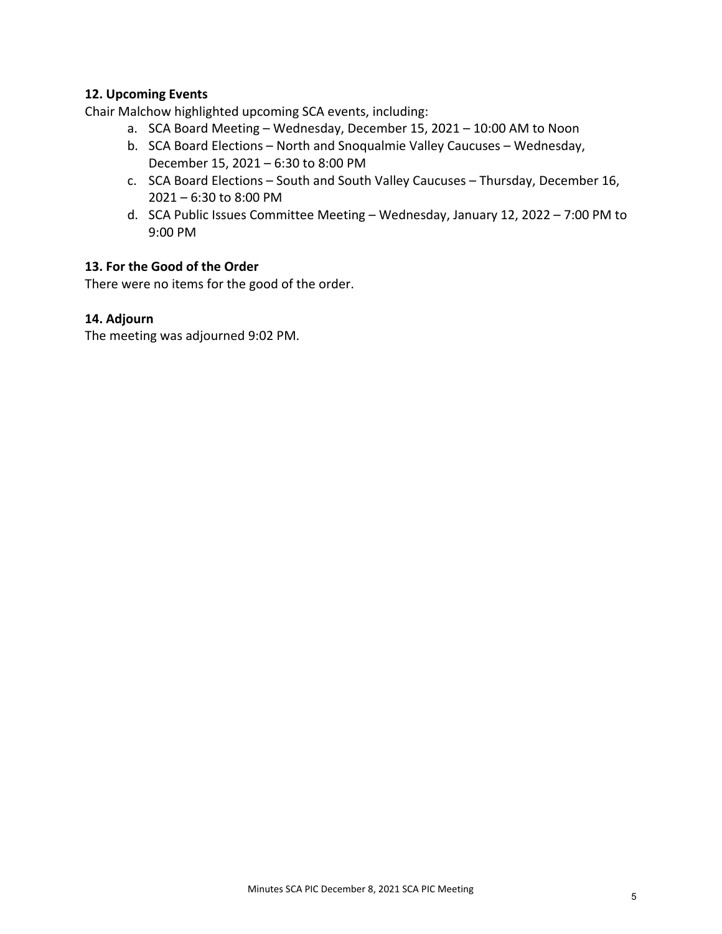#### **12. Upcoming Events**

Chair Malchow highlighted upcoming SCA events, including:

- a. SCA Board Meeting Wednesday, December 15, 2021 10:00 AM to Noon
- b. SCA Board Elections North and Snoqualmie Valley Caucuses Wednesday, December 15, 2021 – 6:30 to 8:00 PM
- c. SCA Board Elections South and South Valley Caucuses Thursday, December 16, 2021 – 6:30 to 8:00 PM
- d. SCA Public Issues Committee Meeting Wednesday, January 12, 2022 7:00 PM to 9:00 PM

#### **13. For the Good of the Order**

There were no items for the good of the order.

#### **14. Adjourn**

The meeting was adjourned 9:02 PM.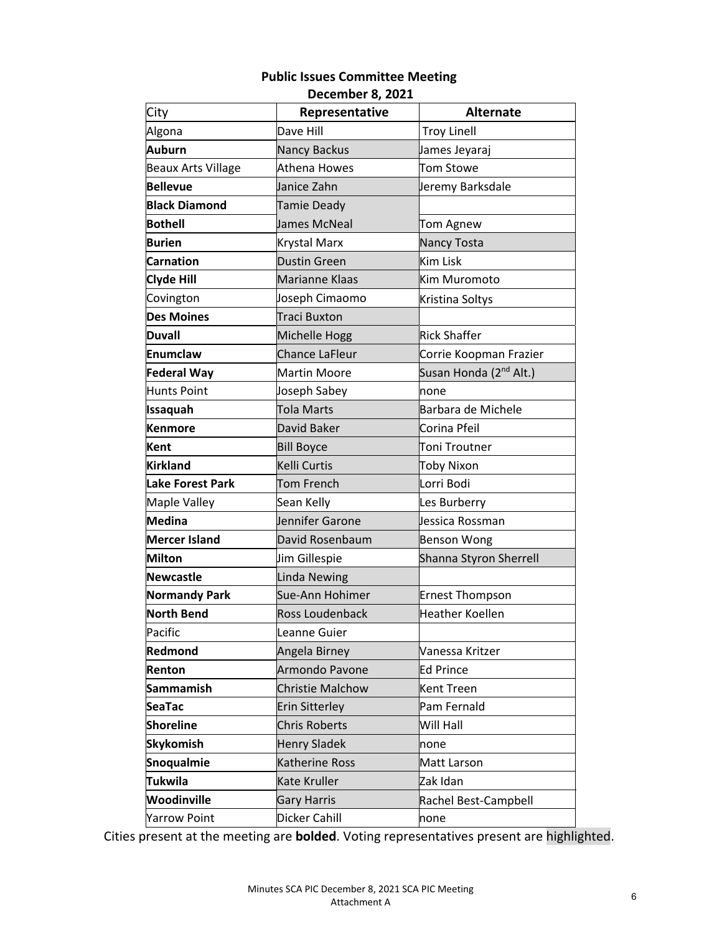## **Public Issues Committee Meeting December 8, 2021**

| City                      | Representative          | <b>Alternate</b>                   |
|---------------------------|-------------------------|------------------------------------|
| Algona                    | Dave Hill               | <b>Troy Linell</b>                 |
| Auburn                    | <b>Nancy Backus</b>     | James Jeyaraj                      |
| <b>Beaux Arts Village</b> | <b>Athena Howes</b>     | Tom Stowe                          |
| <b>Bellevue</b>           | Janice Zahn             | Jeremy Barksdale                   |
| <b>Black Diamond</b>      | Tamie Deady             |                                    |
| <b>Bothell</b>            | James McNeal            | Tom Agnew                          |
| <b>Burien</b>             | Krystal Marx            | <b>Nancy Tosta</b>                 |
| <b>Carnation</b>          | <b>Dustin Green</b>     | Kim Lisk                           |
| <b>Clyde Hill</b>         | Marianne Klaas          | Kim Muromoto                       |
| Covington                 | Joseph Cimaomo          | Kristina Soltys                    |
| <b>Des Moines</b>         | <b>Traci Buxton</b>     |                                    |
| Duvall                    | Michelle Hogg           | Rick Shaffer                       |
| Enumclaw                  | <b>Chance LaFleur</b>   | Corrie Koopman Frazier             |
| <b>Federal Way</b>        | <b>Martin Moore</b>     | Susan Honda (2 <sup>nd</sup> Alt.) |
| <b>Hunts Point</b>        | Joseph Sabey            | none                               |
| <b>Issaquah</b>           | <b>Tola Marts</b>       | Barbara de Michele                 |
| <b>Kenmore</b>            | David Baker             | Corina Pfeil                       |
| Kent                      | <b>Bill Boyce</b>       | Toni Troutner                      |
| <b>Kirkland</b>           | <b>Kelli Curtis</b>     | Toby Nixon                         |
| <b>Lake Forest Park</b>   | Tom French              | Lorri Bodi                         |
| Maple Valley              | Sean Kelly              | Les Burberry                       |
| <b>Medina</b>             | Jennifer Garone         | Jessica Rossman                    |
| <b>Mercer Island</b>      | David Rosenbaum         | <b>Benson Wong</b>                 |
| Milton                    | Jim Gillespie           | Shanna Styron Sherrell             |
| <b>Newcastle</b>          | <b>Linda Newing</b>     |                                    |
| <b>Normandy Park</b>      | Sue-Ann Hohimer         | <b>Ernest Thompson</b>             |
| <b>North Bend</b>         | Ross Loudenback         | Heather Koellen                    |
| Pacific                   | Leanne Guier            |                                    |
| Redmond                   | Angela Birney           | Vanessa Kritzer                    |
| Renton                    | Armondo Pavone          | Ed Prince                          |
| <b>Sammamish</b>          | <b>Christie Malchow</b> | Kent Treen                         |
| <b>SeaTac</b>             | <b>Erin Sitterley</b>   | Pam Fernald                        |
| <b>Shoreline</b>          | <b>Chris Roberts</b>    | Will Hall                          |
| <b>Skykomish</b>          | <b>Henry Sladek</b>     | none                               |
| Snoqualmie                | Katherine Ross          | Matt Larson                        |
| <b>Tukwila</b>            | Kate Kruller            | Zak Idan                           |
| Woodinville               | <b>Gary Harris</b>      | Rachel Best-Campbell               |
| <b>Yarrow Point</b>       | Dicker Cahill           | none                               |

Cities present at the meeting are **bolded**. Voting representatives present are highlighted.